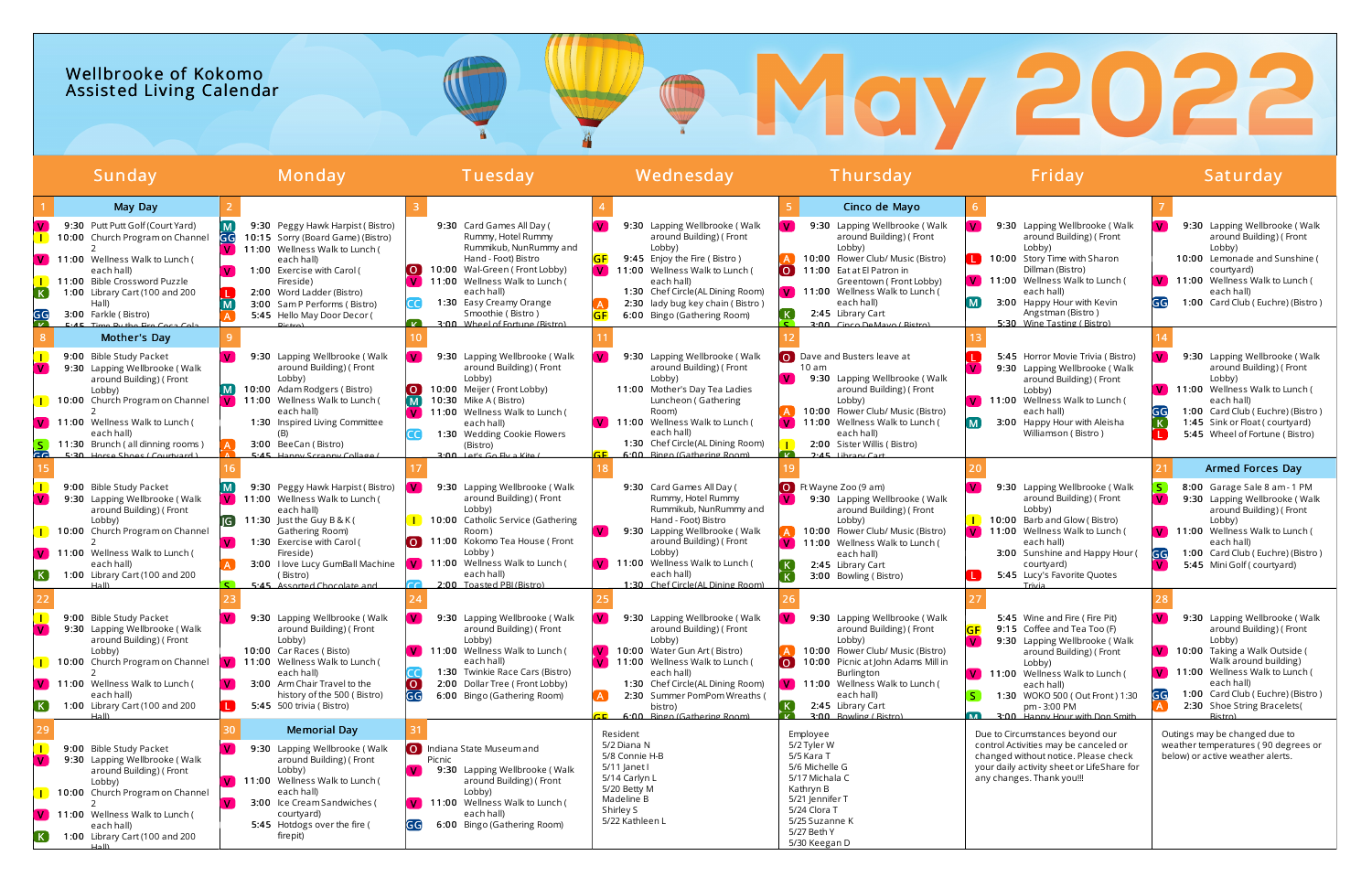## Wellbrooke of Kokomo Assist ed Living Calendar

| Sunday                                                                                                                                                                                                   |                                                                                                                                                                                                                                                 | Monday                                                                                                                                                                                                                                                                                                                                                                                              | Tuesday                                                                                                                                                                                                                                                                                                                                                                                          | Wednesday                                                                                                                                                                                                                                                                                                                                                                                                         | Thursday                                                                                                                                                                                                                                                                                                                                                                                                                              | Friday                                                                                                                                                                                                                                                                                                                                                                                                                     | Saturday                                                                                                                                                                                                                                                                                                                                                                     |
|----------------------------------------------------------------------------------------------------------------------------------------------------------------------------------------------------------|-------------------------------------------------------------------------------------------------------------------------------------------------------------------------------------------------------------------------------------------------|-----------------------------------------------------------------------------------------------------------------------------------------------------------------------------------------------------------------------------------------------------------------------------------------------------------------------------------------------------------------------------------------------------|--------------------------------------------------------------------------------------------------------------------------------------------------------------------------------------------------------------------------------------------------------------------------------------------------------------------------------------------------------------------------------------------------|-------------------------------------------------------------------------------------------------------------------------------------------------------------------------------------------------------------------------------------------------------------------------------------------------------------------------------------------------------------------------------------------------------------------|---------------------------------------------------------------------------------------------------------------------------------------------------------------------------------------------------------------------------------------------------------------------------------------------------------------------------------------------------------------------------------------------------------------------------------------|----------------------------------------------------------------------------------------------------------------------------------------------------------------------------------------------------------------------------------------------------------------------------------------------------------------------------------------------------------------------------------------------------------------------------|------------------------------------------------------------------------------------------------------------------------------------------------------------------------------------------------------------------------------------------------------------------------------------------------------------------------------------------------------------------------------|
| 11:00 Wellness Walk to Lunch (<br>$\mathsf{V}$<br>each hall)<br>11:00 Bible Crossword Puzzle<br>K<br>Hall)<br>GG<br>3:00 Farkle (Bistro)<br>$E \cdot AE$ Time<br>9:00 Bible Study Packet<br>V.<br>Lobby) | May Day<br>9:30 Putt Putt Golf (Court Yard)<br>10:00 Church Program on Channel<br>1:00 Library Cart (100 and 200<br>Mother's Day<br>$\mathbf{V}$<br>9:30 Lapping Wellbrooke (Walk<br>around Building) (Front<br>10:00 Church Program on Channel | 9:30 Peggy Hawk Harpist (Bistro)<br>10:15 Sorry (Board Game) (Bistro)<br>11:00 Wellness Walk to Lunch (<br>each hall)<br>1:00 Exercise with Carol (<br>Fireside)<br>2:00 Word Ladder (Bistro)<br>3:00 Sam P Performs (Bistro)<br>5:45 Hello May Door Decor (<br>9:30 Lapping Wellbrooke (Walk<br>around Building) (Front<br>Lobby)<br>10:00 Adam Rodgers (Bistro)<br>11:00 Wellness Walk to Lunch ( | 9:30 Card Games All Day (<br>Rummy, Hotel Rummy<br>Rummikub, NunRummy and<br>Hand - Foot) Bistro<br>10:00 Wal-Green (Front Lobby)<br>11:00 Wellness Walk to Lunch (<br>each hall)<br>1:30 Easy Creamy Orange<br>Smoothie (Bistro)<br>3:00 Wheel of Fortune (Bistro)<br>9:30 Lapping Wellbrooke (Walk<br>around Building) (Front<br>Lobby)<br>10:00 Meijer (Front Lobby)<br>10:30 Mike A (Bistro) | 9:30 Lapping Wellbrooke (Walk<br>around Building) (Front<br>Lobby)<br>9:45 Enjoy the Fire (Bistro)<br>11:00 Wellness Walk to Lunch (<br>$\mathbf{V}$<br>each hall)<br>1:30 Chef Circle(AL Dining Room)<br>2:30 lady bug key chain (Bistro)<br>6:00 Bingo (Gathering Room)<br>9:30 Lapping Wellbrooke (Walk<br>around Building) (Front<br>Lobby)<br>11:00 Mother's Day Tea Ladies<br>Luncheon (Gathering           | Cinco de Mayo<br>9:30 Lapping Wellbrooke (Walk<br>$\mathbf{V}$<br>around Building) (Front<br>Lobby)<br>10:00 Flower Club/ Music (Bistro)<br>11:00 Eat at El Patron in<br>$\overline{O}$<br>Greentown (Front Lobby)<br>V 11:00 Wellness Walk to Lunch (<br>each hall)<br>2:45 Library Cart<br>3:00 Cinco DeMayo (Bistro)<br>O Dave and Busters leave at<br>10 am<br>9:30 Lapping Wellbrooke (Walk<br>around Building) (Front<br>Lobby) | 9:30 Lapping Wellbrooke (Walk<br>v.<br>around Building) (Front<br>Lobby)<br>10:00 Story Time with Sharon<br>Dillman (Bistro)<br><b>V</b> 11:00 Wellness Walk to Lunch (<br>each hall)<br>3:00 Happy Hour with Kevin<br>M<br>Angstman (Bistro)<br>5:30 Wine Tasting (Bistro)<br>5:45 Horror Movie Trivia (Bistro)<br>9:30 Lapping Wellbrooke (Walk<br>around Building) (Front<br>Lobby)<br>V 11:00 Wellness Walk to Lunch ( | 9:30 Lapping Wellbrooke (Walk<br>around Building) (Front<br>Lobby)<br>10:00 Lemonade and Sunshine<br>courtyard)<br>11:00 Wellness Walk to Lunch (<br>$\mathbf{V}$<br>each hall)<br>1:00 Card Club (Euchre) (Bistro)<br>9:30 Lapping Wellbrooke (Walk<br>around Building) (Front<br>Lobby)<br>V 11:00 Wellness Walk to Lunch (<br>each hall)                                  |
| 11:00 Wellness Walk to Lunch (<br>each hall)<br>ca.<br>9:00 Bible Study Packet<br>Lobby)<br>11:00 Wellness Walk to Lunch (<br>each hall)<br>EK.<br>$H2$ II)                                              | 11:30 Brunch (all dinning rooms)<br>5.30 Horse Shops (Courtuard<br>9:30 Lapping Wellbrooke (Walk<br>around Building) (Front<br>(IG )<br>10:00 Church Program on Channel<br>$\mathbf{V}$<br>1:00 Library Cart (100 and 200                       | each hall)<br>1:30 Inspired Living Committee<br>(B)<br>3:00 BeeCan (Bistro)<br>5.45 Hanny Scranny Collage<br>9:30 Peggy Hawk Harpist (Bistro)<br>11:00 Wellness Walk to Lunch (<br>each hall)<br>11:30 Just the Guy B & K (<br>Gathering Room)<br>1:30 Exercise with Carol (<br>Fireside)<br>3:00 I love Lucy GumBall Machine<br>(Bistro)<br>5.45 Assorted Chocolate and                            | 11:00 Wellness Walk to Lunch (<br>each hall)<br>1:30 Wedding Cookie Flowers<br>(Bistro)<br>$2.00$ Lot's Go Elvia Kito (<br>9:30 Lapping Wellbrooke (Walk<br>around Building) (Front<br>Lobby)<br>10:00 Catholic Service (Gathering<br>Room)<br>11:00 Kokomo Tea House (Front<br><u>0</u><br>Lobby)<br>V 11:00 Wellness Walk to Lunch (<br>each hall)<br>2:00 Toasted PBI (Bistro)                | Room)<br><b>V</b> 11:00 Wellness Walk to Lunch (<br>each hall)<br>1:30 Chef Circle(AL Dining Room)<br>6:00 Ringo (Gathering Room)<br>9:30 Card Games All Day (<br>Rummy, Hotel Rummy<br>Rummikub, NunRummy and<br>Hand - Foot) Bistro<br>$\mathbf{V}$<br>9:30 Lapping Wellbrooke (Walk<br>around Building) (Front<br>Lobby)<br>V 11:00 Wellness Walk to Lunch (<br>each hall)<br>1:30 Chef Circle(Al Dining Room) | 10:00 Flower Club/ Music (Bistro)<br>11:00 Wellness Walk to Lunch (<br>each hall)<br>2:00 Sister Willis (Bistro)<br>$2.45$ libran $C$ an<br>- 12<br>O Ft Wayne Zoo (9 am)<br>9:30 Lapping Wellbrooke (Walk<br>around Building) (Front<br>Lobby)<br>10:00 Flower Club/ Music (Bistro)<br>$\sqrt{V}$ 11:00 Wellness Walk to Lunch (<br>each hall)<br>2:45 Library Cart<br>3:00 Bowling (Bistro)                                         | each hall)<br>3:00 Happy Hour with Aleisha<br>M<br>Williamson (Bistro)<br>9:30 Lapping Wellbrooke (Walk<br>around Building) (Front<br>Lobby)<br>10:00 Barb and Glow (Bistro)<br>11:00 Wellness Walk to Lunch (<br>each hall)<br>3:00 Sunshine and Happy Hour (<br>courtyard)<br>5:45 Lucy's Favorite Quotes<br>Trivia                                                                                                      | 1:00 Card Club (Euchre) (Bistro)<br>1:45 Sink or Float (courtyard)<br>5:45 Wheel of Fortune (Bistro)<br><b>Armed Forces Day</b><br>8:00 Garage Sale 8 am - 1 PM<br>9:30 Lapping Wellbrooke (Walk<br>around Building) (Front<br>Lobby)<br>$\mathbf{V}$<br>11:00 Wellness Walk to Lunch (<br>each hall)<br>1:00 Card Club (Euchre) (Bistro)<br>5:45 Mini Golf (courtyard)<br>M |
| 9:00 Bible Study Packet<br>V.<br>Lobby)<br>$\sqrt{V}$ 11:00 Wellness Walk to Lunch (<br>each hall)<br>$\left( \mathbf{K}\right)$                                                                         | 9:30 Lapping Wellbrooke (Walk<br>around Building) (Front<br>10:00 Church Program on Channel<br>$\mathbf{V}$<br>1:00 Library Cart (100 and 200<br><b>L</b>                                                                                       | 9:30 Lapping Wellbrooke (Walk<br>around Building) (Front<br>Lobby)<br>10:00 Car Races (Bisto)<br>V 11:00 Wellness Walk to Lunch (<br>each hall)<br>3:00 Arm Chair Travel to the<br>history of the 500 (Bistro)<br><b>5:45</b> 500 trivia (Bistro)                                                                                                                                                   | 9:30 Lapping Wellbrooke (Walk<br>around Building) (Front<br>Lobby)<br>$\sqrt{V}$ 11:00 Wellness Walk to Lunch (<br>each hall)<br>1:30 Twinkie Race Cars (Bistro)<br>2:00 Dollar Tree (Front Lobby)<br>. O<br>GG<br>6:00 Bingo (Gathering Room)                                                                                                                                                   | 9:30 Lapping Wellbrooke (Walk<br>around Building) (Front<br>Lobby)<br>10:00 Water Gun Art (Bistro)<br>11:00 Wellness Walk to Lunch (<br>each hall)<br>1:30 Chef Circle(AL Dining Room)<br>2:30 Summer PomPom Wreaths (<br>bistro)<br>6:00 Ringo (Gathering Poom)                                                                                                                                                  | 9:30 Lapping Wellbrooke (Walk<br>around Building) (Front<br>Lobby)<br>10:00 Flower Club/ Music (Bistro)<br>$\Omega$<br>10:00 Picnic at John Adams Mill in<br>Burlington<br>$\sqrt{V}$ 11:00 Wellness Walk to Lunch (<br>each hall)<br>2:45 Library Cart<br>Pointing (Dictro)                                                                                                                                                          | 5:45 Wine and Fire (Fire Pit)<br>9:15 Coffee and Tea Too (F)<br>9:30 Lapping Wellbrooke (Walk<br>around Building) (Front<br>Lobby)<br>V 11:00 Wellness Walk to Lunch (<br>each hall)<br>1:30 WOKO 500 (Out Front) 1:30<br>pm - 3:00 PM<br>3:00 Hanny Hour with Don Smith                                                                                                                                                   | 9:30 Lapping Wellbrooke (Walk<br>v.<br>around Building) (Front<br>Lobby)<br>V 10:00 Taking a Walk Outside (<br>Walk around building)<br>V 11:00 Wellness Walk to Lunch (<br>each hall)<br>1:00 Card Club (Euchre) (Bistro)<br>2:30 Shoe String Bracelets(<br>Rictro)                                                                                                         |
| 9:00 Bible Study Packet<br>$\mathbf{V}$<br>Lobby)<br>11:00 Wellness Walk to Lunch (<br>each hall)<br>$H2$ II)                                                                                            | 9:30 Lapping Wellbrooke (Walk<br>around Building) (Front<br>10:00 Church Program on Channel<br>$\mathbf{V}$<br>1:00 Library Cart (100 and 200                                                                                                   | <b>Memorial Day</b><br>9:30 Lapping Wellbrooke (Walk<br>around Building) (Front<br>Lobby)<br>$\sqrt{V}$ 11:00 Wellness Walk to Lunch (<br>each hall)<br>3:00 Ice Cream Sandwiches (<br>courtyard)<br>5:45 Hotdogs over the fire (<br>firepit)                                                                                                                                                       | O Indiana State Museum and<br>Picnic<br>9:30 Lapping Wellbrooke (Walk<br>l V l<br>around Building) (Front<br>Lobby)<br>11:00 Wellness Walk to Lunch (<br>each hall)<br>6:00 Bingo (Gathering Room)<br>GG                                                                                                                                                                                         | Resident<br>5/2 Diana N<br>5/8 Connie H-B<br>5/11 Janet I<br>5/14 Carlyn L<br>5/20 Betty M<br>Madeline B<br>Shirley S<br>5/22 Kathleen L                                                                                                                                                                                                                                                                          | Employee<br>5/2 Tyler W<br>5/5 Kara T<br>5/6 Michelle G<br>5/17 Michala C<br>Kathryn B<br>5/21 Jennifer T<br>5/24 Clora T<br>5/25 Suzanne K<br>5/27 Beth Y<br>5/30 Keegan D                                                                                                                                                                                                                                                           | Due to Circumstances beyond our<br>control Activities may be canceled or<br>changed without notice. Please check<br>your daily activity sheet or LifeShare for<br>any changes. Thank you!!!                                                                                                                                                                                                                                | Outings may be changed due to<br>weather temperatures (90 degrees or<br>below) or active weather alerts.                                                                                                                                                                                                                                                                     |

# ® May 2022